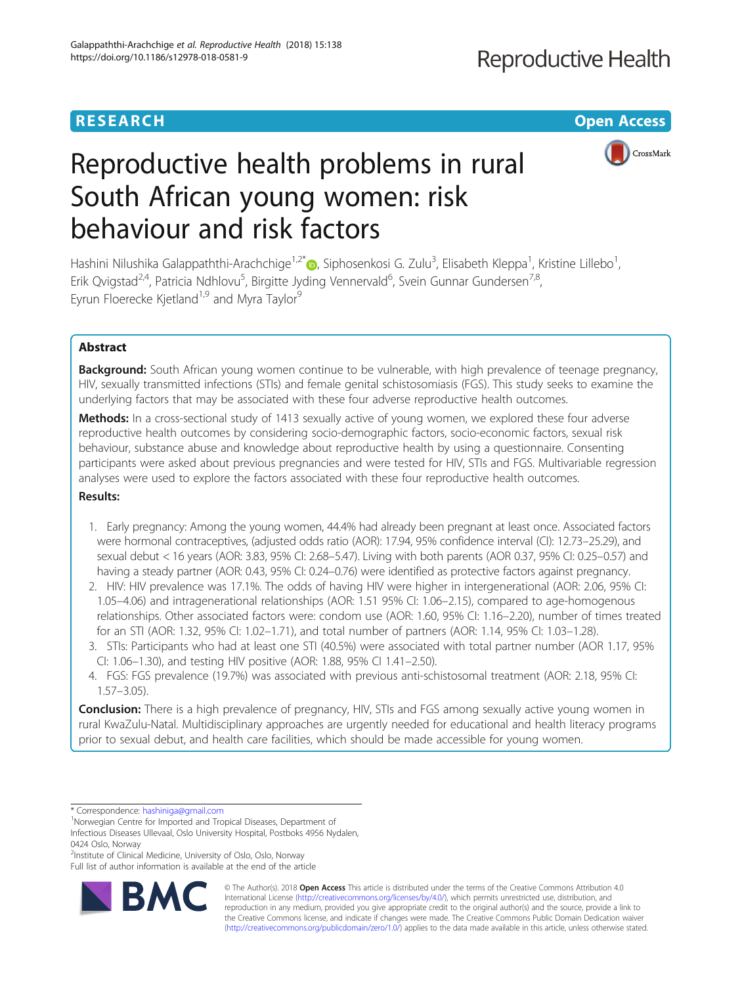## **RESEARCH CHINESE ARCH CHINESE ARCHITECT ARCHITECT ARCHITECT ARCHITECT ARCHITECT ARCHITECT ARCHITECT ARCHITECT ARCHITECT ARCHITECT ARCHITECT ARCHITECT ARCHITECT ARCHITECT ARCHITECT ARCHITECT ARCHITECT ARCHITECT ARCHITE**



# Reproductive health problems in rural South African young women: risk behaviour and risk factors

Hashini Nilushika Galappaththi-Arachchige<sup>1[,](http://orcid.org/0000-0002-0273-3959)2\*</sup>@, Siphosenkosi G. Zulu<sup>3</sup>, Elisabeth Kleppa<sup>1</sup>, Kristine Lillebo<sup>1</sup> , Erik Qvigstad<sup>2,4</sup>, Patricia Ndhlovu<sup>5</sup>, Birgitte Jyding Vennervald<sup>6</sup>, Svein Gunnar Gundersen<sup>7,8</sup>, Eyrun Floerecke Kjetland<sup>1,9</sup> and Myra Taylor<sup>9</sup>

## Abstract

**Background:** South African young women continue to be vulnerable, with high prevalence of teenage pregnancy, HIV, sexually transmitted infections (STIs) and female genital schistosomiasis (FGS). This study seeks to examine the underlying factors that may be associated with these four adverse reproductive health outcomes.

Methods: In a cross-sectional study of 1413 sexually active of young women, we explored these four adverse reproductive health outcomes by considering socio-demographic factors, socio-economic factors, sexual risk behaviour, substance abuse and knowledge about reproductive health by using a questionnaire. Consenting participants were asked about previous pregnancies and were tested for HIV, STIs and FGS. Multivariable regression analyses were used to explore the factors associated with these four reproductive health outcomes.

## Results:

- 1. Early pregnancy: Among the young women, 44.4% had already been pregnant at least once. Associated factors were hormonal contraceptives, (adjusted odds ratio (AOR): 17.94, 95% confidence interval (CI): 12.73–25.29), and sexual debut < 16 years (AOR: 3.83, 95% CI: 2.68–5.47). Living with both parents (AOR 0.37, 95% CI: 0.25–0.57) and having a steady partner (AOR: 0.43, 95% CI: 0.24–0.76) were identified as protective factors against pregnancy.
- 2. HIV: HIV prevalence was 17.1%. The odds of having HIV were higher in intergenerational (AOR: 2.06, 95% CI: 1.05–4.06) and intragenerational relationships (AOR: 1.51 95% CI: 1.06–2.15), compared to age-homogenous relationships. Other associated factors were: condom use (AOR: 1.60, 95% CI: 1.16–2.20), number of times treated for an STI (AOR: 1.32, 95% CI: 1.02–1.71), and total number of partners (AOR: 1.14, 95% CI: 1.03–1.28).
- 3. STIs: Participants who had at least one STI (40.5%) were associated with total partner number (AOR 1.17, 95% CI: 1.06–1.30), and testing HIV positive (AOR: 1.88, 95% CI 1.41–2.50).
- 4. FGS: FGS prevalence (19.7%) was associated with previous anti-schistosomal treatment (AOR: 2.18, 95% CI: 1.57–3.05).

**Conclusion:** There is a high prevalence of pregnancy, HIV, STIs and FGS among sexually active young women in rural KwaZulu-Natal. Multidisciplinary approaches are urgently needed for educational and health literacy programs prior to sexual debut, and health care facilities, which should be made accessible for young women.

<sup>2</sup>Institute of Clinical Medicine, University of Oslo, Oslo, Norway Full list of author information is available at the end of the article



© The Author(s). 2018 Open Access This article is distributed under the terms of the Creative Commons Attribution 4.0 International License [\(http://creativecommons.org/licenses/by/4.0/](http://creativecommons.org/licenses/by/4.0/)), which permits unrestricted use, distribution, and reproduction in any medium, provided you give appropriate credit to the original author(s) and the source, provide a link to the Creative Commons license, and indicate if changes were made. The Creative Commons Public Domain Dedication waiver [\(http://creativecommons.org/publicdomain/zero/1.0/](http://creativecommons.org/publicdomain/zero/1.0/)) applies to the data made available in this article, unless otherwise stated.

<sup>\*</sup> Correspondence: [hashiniga@gmail.com](mailto:hashiniga@gmail.com) <sup>1</sup>

<sup>&</sup>lt;sup>1</sup>Norwegian Centre for Imported and Tropical Diseases, Department of Infectious Diseases Ullevaal, Oslo University Hospital, Postboks 4956 Nydalen, 0424 Oslo, Norway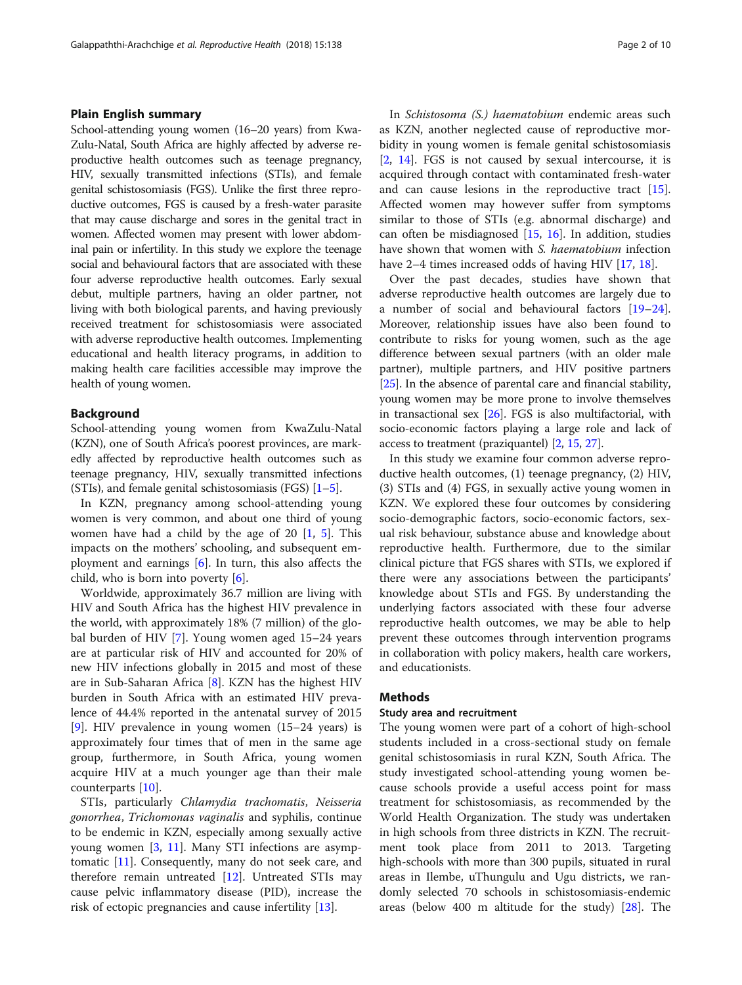## Plain English summary

School-attending young women (16–20 years) from Kwa-Zulu-Natal, South Africa are highly affected by adverse reproductive health outcomes such as teenage pregnancy, HIV, sexually transmitted infections (STIs), and female genital schistosomiasis (FGS). Unlike the first three reproductive outcomes, FGS is caused by a fresh-water parasite that may cause discharge and sores in the genital tract in women. Affected women may present with lower abdominal pain or infertility. In this study we explore the teenage social and behavioural factors that are associated with these four adverse reproductive health outcomes. Early sexual debut, multiple partners, having an older partner, not living with both biological parents, and having previously received treatment for schistosomiasis were associated with adverse reproductive health outcomes. Implementing educational and health literacy programs, in addition to making health care facilities accessible may improve the health of young women.

## Background

School-attending young women from KwaZulu-Natal (KZN), one of South Africa's poorest provinces, are markedly affected by reproductive health outcomes such as teenage pregnancy, HIV, sexually transmitted infections (STIs), and female genital schistosomiasis (FGS)  $[1-5]$  $[1-5]$  $[1-5]$  $[1-5]$ .

In KZN, pregnancy among school-attending young women is very common, and about one third of young women have had a child by the age of  $20$  [\[1](#page-8-0), [5\]](#page-8-0). This impacts on the mothers' schooling, and subsequent employment and earnings [\[6](#page-8-0)]. In turn, this also affects the child, who is born into poverty  $[6]$  $[6]$ .

Worldwide, approximately 36.7 million are living with HIV and South Africa has the highest HIV prevalence in the world, with approximately 18% (7 million) of the global burden of HIV [[7\]](#page-9-0). Young women aged 15–24 years are at particular risk of HIV and accounted for 20% of new HIV infections globally in 2015 and most of these are in Sub-Saharan Africa [[8\]](#page-9-0). KZN has the highest HIV burden in South Africa with an estimated HIV prevalence of 44.4% reported in the antenatal survey of 2015 [[9\]](#page-9-0). HIV prevalence in young women (15–24 years) is approximately four times that of men in the same age group, furthermore, in South Africa, young women acquire HIV at a much younger age than their male counterparts [[10](#page-9-0)].

STIs, particularly Chlamydia trachomatis, Neisseria gonorrhea, Trichomonas vaginalis and syphilis, continue to be endemic in KZN, especially among sexually active young women [\[3](#page-8-0), [11](#page-9-0)]. Many STI infections are asymptomatic [\[11](#page-9-0)]. Consequently, many do not seek care, and therefore remain untreated [[12\]](#page-9-0). Untreated STIs may cause pelvic inflammatory disease (PID), increase the risk of ectopic pregnancies and cause infertility [[13\]](#page-9-0).

In Schistosoma (S.) haematobium endemic areas such as KZN, another neglected cause of reproductive morbidity in young women is female genital schistosomiasis [[2,](#page-8-0) [14\]](#page-9-0). FGS is not caused by sexual intercourse, it is acquired through contact with contaminated fresh-water and can cause lesions in the reproductive tract [\[15](#page-9-0)]. Affected women may however suffer from symptoms similar to those of STIs (e.g. abnormal discharge) and can often be misdiagnosed [\[15](#page-9-0), [16\]](#page-9-0). In addition, studies have shown that women with S. haematobium infection have 2–4 times increased odds of having HIV [[17,](#page-9-0) [18\]](#page-9-0).

Over the past decades, studies have shown that adverse reproductive health outcomes are largely due to a number of social and behavioural factors [[19](#page-9-0)–[24](#page-9-0)]. Moreover, relationship issues have also been found to contribute to risks for young women, such as the age difference between sexual partners (with an older male partner), multiple partners, and HIV positive partners [[25](#page-9-0)]. In the absence of parental care and financial stability, young women may be more prone to involve themselves in transactional sex [[26](#page-9-0)]. FGS is also multifactorial, with socio-economic factors playing a large role and lack of access to treatment (praziquantel) [\[2,](#page-8-0) [15](#page-9-0), [27](#page-9-0)].

In this study we examine four common adverse reproductive health outcomes, (1) teenage pregnancy, (2) HIV, (3) STIs and (4) FGS, in sexually active young women in KZN. We explored these four outcomes by considering socio-demographic factors, socio-economic factors, sexual risk behaviour, substance abuse and knowledge about reproductive health. Furthermore, due to the similar clinical picture that FGS shares with STIs, we explored if there were any associations between the participants' knowledge about STIs and FGS. By understanding the underlying factors associated with these four adverse reproductive health outcomes, we may be able to help prevent these outcomes through intervention programs in collaboration with policy makers, health care workers, and educationists.

## Methods

## Study area and recruitment

The young women were part of a cohort of high-school students included in a cross-sectional study on female genital schistosomiasis in rural KZN, South Africa. The study investigated school-attending young women because schools provide a useful access point for mass treatment for schistosomiasis, as recommended by the World Health Organization. The study was undertaken in high schools from three districts in KZN. The recruitment took place from 2011 to 2013. Targeting high-schools with more than 300 pupils, situated in rural areas in Ilembe, uThungulu and Ugu districts, we randomly selected 70 schools in schistosomiasis-endemic areas (below 400 m altitude for the study) [[28\]](#page-9-0). The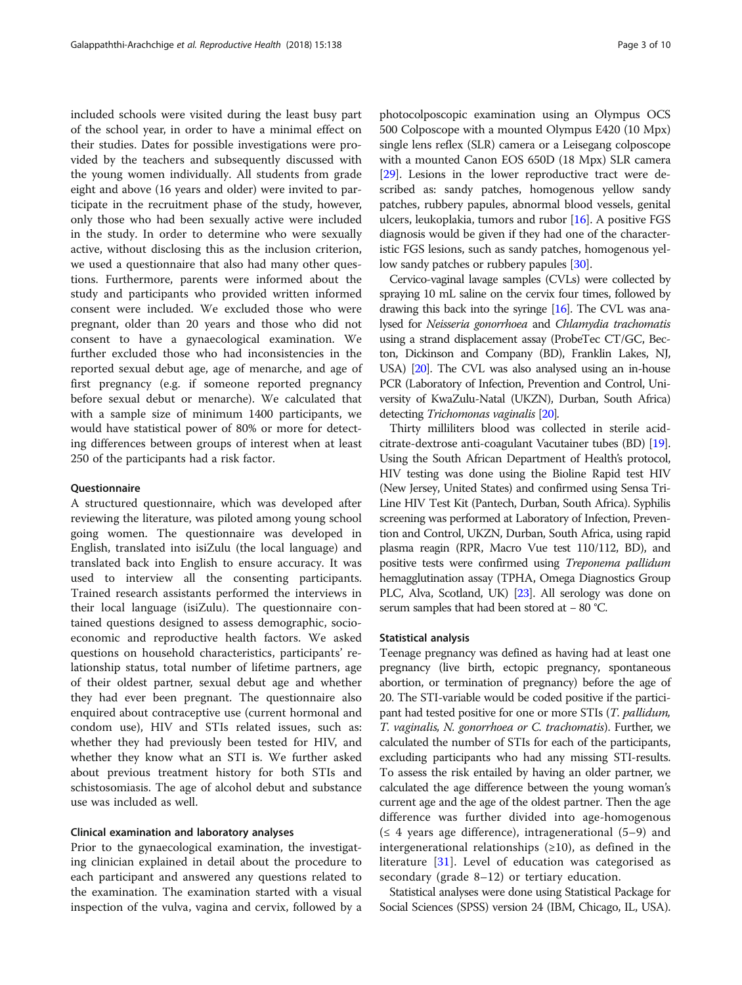included schools were visited during the least busy part of the school year, in order to have a minimal effect on their studies. Dates for possible investigations were provided by the teachers and subsequently discussed with the young women individually. All students from grade eight and above (16 years and older) were invited to participate in the recruitment phase of the study, however, only those who had been sexually active were included in the study. In order to determine who were sexually active, without disclosing this as the inclusion criterion, we used a questionnaire that also had many other questions. Furthermore, parents were informed about the study and participants who provided written informed consent were included. We excluded those who were pregnant, older than 20 years and those who did not consent to have a gynaecological examination. We further excluded those who had inconsistencies in the reported sexual debut age, age of menarche, and age of first pregnancy (e.g. if someone reported pregnancy before sexual debut or menarche). We calculated that with a sample size of minimum 1400 participants, we would have statistical power of 80% or more for detecting differences between groups of interest when at least 250 of the participants had a risk factor.

#### **Questionnaire**

A structured questionnaire, which was developed after reviewing the literature, was piloted among young school going women. The questionnaire was developed in English, translated into isiZulu (the local language) and translated back into English to ensure accuracy. It was used to interview all the consenting participants. Trained research assistants performed the interviews in their local language (isiZulu). The questionnaire contained questions designed to assess demographic, socioeconomic and reproductive health factors. We asked questions on household characteristics, participants' relationship status, total number of lifetime partners, age of their oldest partner, sexual debut age and whether they had ever been pregnant. The questionnaire also enquired about contraceptive use (current hormonal and condom use), HIV and STIs related issues, such as: whether they had previously been tested for HIV, and whether they know what an STI is. We further asked about previous treatment history for both STIs and schistosomiasis. The age of alcohol debut and substance use was included as well.

## Clinical examination and laboratory analyses

Prior to the gynaecological examination, the investigating clinician explained in detail about the procedure to each participant and answered any questions related to the examination. The examination started with a visual inspection of the vulva, vagina and cervix, followed by a

photocolposcopic examination using an Olympus OCS 500 Colposcope with a mounted Olympus E420 (10 Mpx) single lens reflex (SLR) camera or a Leisegang colposcope with a mounted Canon EOS 650D (18 Mpx) SLR camera [[29](#page-9-0)]. Lesions in the lower reproductive tract were described as: sandy patches, homogenous yellow sandy patches, rubbery papules, abnormal blood vessels, genital ulcers, leukoplakia, tumors and rubor [\[16\]](#page-9-0). A positive FGS diagnosis would be given if they had one of the characteristic FGS lesions, such as sandy patches, homogenous yellow sandy patches or rubbery papules [[30](#page-9-0)].

Cervico-vaginal lavage samples (CVLs) were collected by spraying 10 mL saline on the cervix four times, followed by drawing this back into the syringe [\[16\]](#page-9-0). The CVL was analysed for Neisseria gonorrhoea and Chlamydia trachomatis using a strand displacement assay (ProbeTec CT/GC, Becton, Dickinson and Company (BD), Franklin Lakes, NJ, USA) [\[20](#page-9-0)]. The CVL was also analysed using an in-house PCR (Laboratory of Infection, Prevention and Control, University of KwaZulu-Natal (UKZN), Durban, South Africa) detecting Trichomonas vaginalis [\[20\]](#page-9-0).

Thirty milliliters blood was collected in sterile acidcitrate-dextrose anti-coagulant Vacutainer tubes (BD) [\[19](#page-9-0)]. Using the South African Department of Health's protocol, HIV testing was done using the Bioline Rapid test HIV (New Jersey, United States) and confirmed using Sensa Tri-Line HIV Test Kit (Pantech, Durban, South Africa). Syphilis screening was performed at Laboratory of Infection, Prevention and Control, UKZN, Durban, South Africa, using rapid plasma reagin (RPR, Macro Vue test 110/112, BD), and positive tests were confirmed using Treponema pallidum hemagglutination assay (TPHA, Omega Diagnostics Group PLC, Alva, Scotland, UK) [\[23\]](#page-9-0). All serology was done on serum samples that had been stored at − 80 °C.

### Statistical analysis

Teenage pregnancy was defined as having had at least one pregnancy (live birth, ectopic pregnancy, spontaneous abortion, or termination of pregnancy) before the age of 20. The STI-variable would be coded positive if the participant had tested positive for one or more STIs (T. pallidum, T. vaginalis, N. gonorrhoea or C. trachomatis). Further, we calculated the number of STIs for each of the participants, excluding participants who had any missing STI-results. To assess the risk entailed by having an older partner, we calculated the age difference between the young woman's current age and the age of the oldest partner. Then the age difference was further divided into age-homogenous (≤ 4 years age difference), intragenerational (5–9) and intergenerational relationships  $(≥10)$ , as defined in the literature [\[31](#page-9-0)]. Level of education was categorised as secondary (grade 8–12) or tertiary education.

Statistical analyses were done using Statistical Package for Social Sciences (SPSS) version 24 (IBM, Chicago, IL, USA).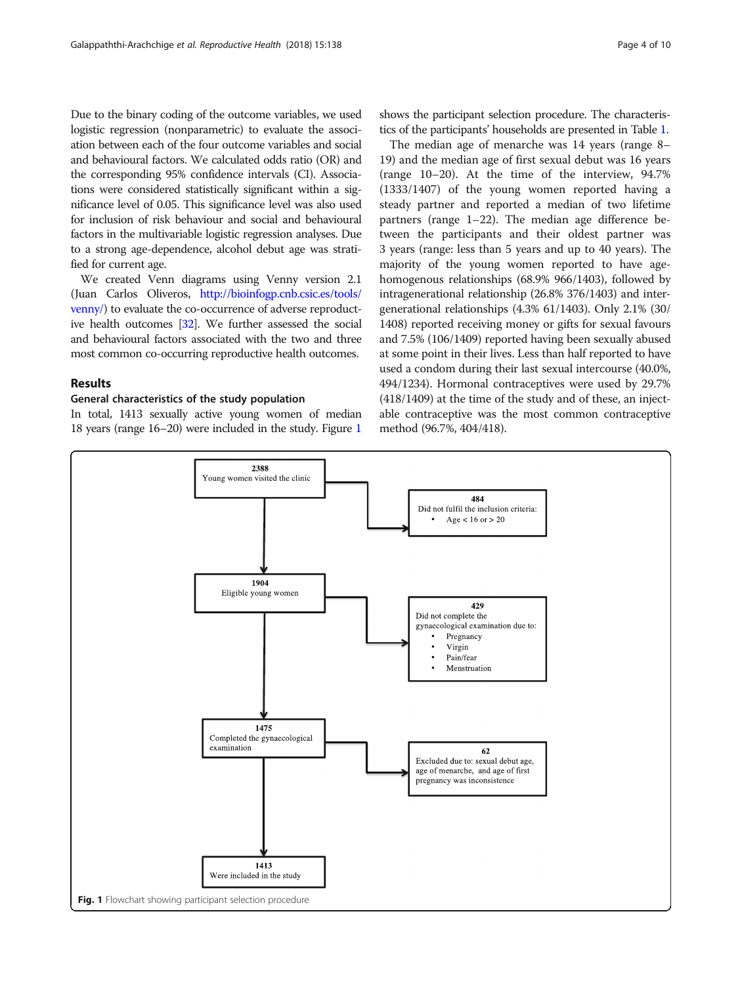Due to the binary coding of the outcome variables, we used logistic regression (nonparametric) to evaluate the association between each of the four outcome variables and social and behavioural factors. We calculated odds ratio (OR) and the corresponding 95% confidence intervals (CI). Associations were considered statistically significant within a significance level of 0.05. This significance level was also used for inclusion of risk behaviour and social and behavioural factors in the multivariable logistic regression analyses. Due to a strong age-dependence, alcohol debut age was stratified for current age.

We created Venn diagrams using Venny version 2.1 (Juan Carlos Oliveros, [http://bioinfogp.cnb.csic.es/tools/](http://bioinfogp.cnb.csic.es/tools/venny) [venny/](http://bioinfogp.cnb.csic.es/tools/venny)) to evaluate the co-occurrence of adverse reproductive health outcomes [\[32\]](#page-9-0). We further assessed the social and behavioural factors associated with the two and three most common co-occurring reproductive health outcomes.

#### Results

## General characteristics of the study population

In total, 1413 sexually active young women of median 18 years (range 16–20) were included in the study. Figure 1

shows the participant selection procedure. The characteristics of the participants' households are presented in Table [1.](#page-4-0)

The median age of menarche was 14 years (range 8– 19) and the median age of first sexual debut was 16 years (range 10–20). At the time of the interview, 94.7% (1333/1407) of the young women reported having a steady partner and reported a median of two lifetime partners (range 1–22). The median age difference between the participants and their oldest partner was 3 years (range: less than 5 years and up to 40 years). The majority of the young women reported to have agehomogenous relationships (68.9% 966/1403), followed by intragenerational relationship (26.8% 376/1403) and intergenerational relationships (4.3% 61/1403). Only 2.1% (30/ 1408) reported receiving money or gifts for sexual favours and 7.5% (106/1409) reported having been sexually abused at some point in their lives. Less than half reported to have used a condom during their last sexual intercourse (40.0%, 494/1234). Hormonal contraceptives were used by 29.7% (418/1409) at the time of the study and of these, an injectable contraceptive was the most common contraceptive method (96.7%, 404/418).

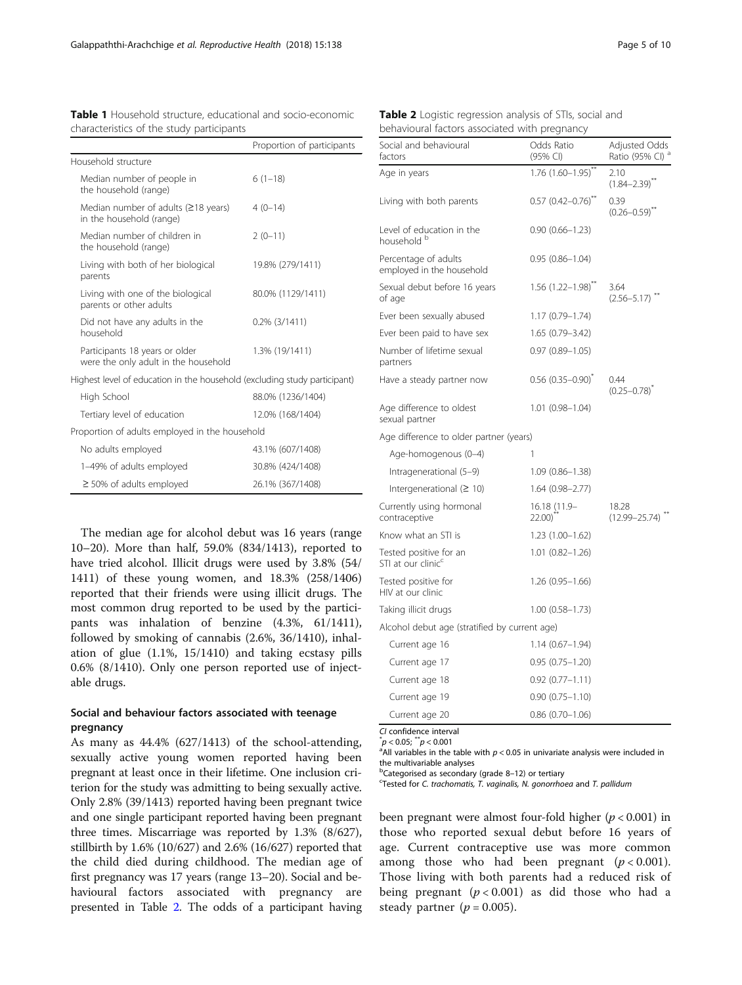|                                                                           | Proportion of participants |
|---------------------------------------------------------------------------|----------------------------|
| Household structure                                                       |                            |
| Median number of people in<br>the household (range)                       | $6(1-18)$                  |
| Median number of adults $(≥18$ years)<br>in the household (range)         | $4(0-14)$                  |
| Median number of children in<br>the household (range)                     | $2(0-11)$                  |
| Living with both of her biological<br>parents                             | 19.8% (279/1411)           |
| Living with one of the biological<br>parents or other adults              | 80.0% (1129/1411)          |
| Did not have any adults in the<br>household                               | $0.2\%$ (3/1411)           |
| Participants 18 years or older<br>were the only adult in the household    | 1.3% (19/1411)             |
| Highest level of education in the household (excluding study participant) |                            |
| High School                                                               | 88.0% (1236/1404)          |
| Tertiary level of education                                               | 12.0% (168/1404)           |
| Proportion of adults employed in the household                            |                            |
| No adults employed                                                        | 43.1% (607/1408)           |
| 1-49% of adults employed                                                  | 30.8% (424/1408)           |
| $\geq$ 50% of adults employed                                             | 26.1% (367/1408)           |
|                                                                           |                            |

<span id="page-4-0"></span>Table 1 Household structure, educational and socio-economic characteristics of the study participants

The median age for alcohol debut was 16 years (range 10–20). More than half, 59.0% (834/1413), reported to have tried alcohol. Illicit drugs were used by 3.8% (54/ 1411) of these young women, and 18.3% (258/1406) reported that their friends were using illicit drugs. The most common drug reported to be used by the participants was inhalation of benzine (4.3%, 61/1411), followed by smoking of cannabis (2.6%, 36/1410), inhalation of glue (1.1%, 15/1410) and taking ecstasy pills 0.6% (8/1410). Only one person reported use of injectable drugs.

## Social and behaviour factors associated with teenage pregnancy

As many as 44.4% (627/1413) of the school-attending, sexually active young women reported having been pregnant at least once in their lifetime. One inclusion criterion for the study was admitting to being sexually active. Only 2.8% (39/1413) reported having been pregnant twice and one single participant reported having been pregnant three times. Miscarriage was reported by 1.3% (8/627), stillbirth by 1.6% (10/627) and 2.6% (16/627) reported that the child died during childhood. The median age of first pregnancy was 17 years (range 13–20). Social and behavioural factors associated with pregnancy are presented in Table 2. The odds of a participant having

| Social and behavioural<br>factors                        | Odds Ratio<br>(95% CI)          | Adjusted Odds<br>Ratio (95% CI) <sup>a</sup> |
|----------------------------------------------------------|---------------------------------|----------------------------------------------|
| Age in years                                             | $1.76$ $(1.60 - 1.95)^{**}$     | 2.10<br>$(1.84 - 2.39)^{**}$                 |
| Living with both parents                                 | $0.57$ (0.42-0.76) <sup>2</sup> | 0.39<br>$(0.26 - 0.59)^{**}$                 |
| Level of education in the<br>household b                 | $0.90(0.66 - 1.23)$             |                                              |
| Percentage of adults<br>employed in the household        | $0.95(0.86 - 1.04)$             |                                              |
| Sexual debut before 16 years<br>of age                   | $1.56$ $(1.22 - 1.98)^{**}$     | 3.64<br>$(2.56 - 5.17)$                      |
| Ever been sexually abused                                | $1.17(0.79 - 1.74)$             |                                              |
| Ever been paid to have sex                               | $1.65(0.79 - 3.42)$             |                                              |
| Number of lifetime sexual<br>partners                    | $0.97(0.89 - 1.05)$             |                                              |
| Have a steady partner now                                | $0.56$ (0.35-0.90) <sup>*</sup> | 0.44<br>$(0.25 - 0.78)$                      |
| Age difference to oldest<br>sexual partner               | $1.01(0.98 - 1.04)$             |                                              |
| Age difference to older partner (years)                  |                                 |                                              |
| Age-homogenous (0-4)                                     | 1                               |                                              |
| Intragenerational (5-9)                                  | $1.09(0.86 - 1.38)$             |                                              |
| Intergenerational ( $\geq 10$ )                          | $1.64(0.98 - 2.77)$             |                                              |
| Currently using hormonal<br>contraceptive                | 16.18 (11.9–<br>22.00           | 18.28<br>(12.99–25.74)                       |
| Know what an STI is                                      | $1.23(1.00-1.62)$               |                                              |
| Tested positive for an<br>STI at our clinic <sup>c</sup> | $1.01(0.82 - 1.26)$             |                                              |
| Tested positive for<br>HIV at our clinic                 | $1.26(0.95 - 1.66)$             |                                              |
| Taking illicit drugs                                     | $1.00(0.58 - 1.73)$             |                                              |
| Alcohol debut age (stratified by current age)            |                                 |                                              |
| Current age 16                                           | $1.14(0.67 - 1.94)$             |                                              |
| Current age 17                                           | $0.95(0.75 - 1.20)$             |                                              |
| Current age 18                                           | $0.92(0.77 - 1.11)$             |                                              |
| Current age 19                                           | $0.90(0.75 - 1.10)$             |                                              |
| Current age 20                                           | $0.86$ (0.70-1.06)              |                                              |

Table 2 Logistic regression analysis of STIs, social and behavioural factors associated with pregnancy

CI confidence interval

 $p < 0.05$ ;  $p < 0.001$ 

<sup>a</sup> All variables in the table with  $p < 0.05$  in univariate analysis were included in the multivariable analyses

 $b$ Categorised as secondary (grade 8–12) or tertiary<br>Exected for C trachomatis T vaginalis N gonorrho

Tested for C. trachomatis, T. vaginalis, N. gonorrhoea and T. pallidum

been pregnant were almost four-fold higher ( $p < 0.001$ ) in those who reported sexual debut before 16 years of age. Current contraceptive use was more common among those who had been pregnant  $(p < 0.001)$ . Those living with both parents had a reduced risk of being pregnant ( $p < 0.001$ ) as did those who had a steady partner ( $p = 0.005$ ).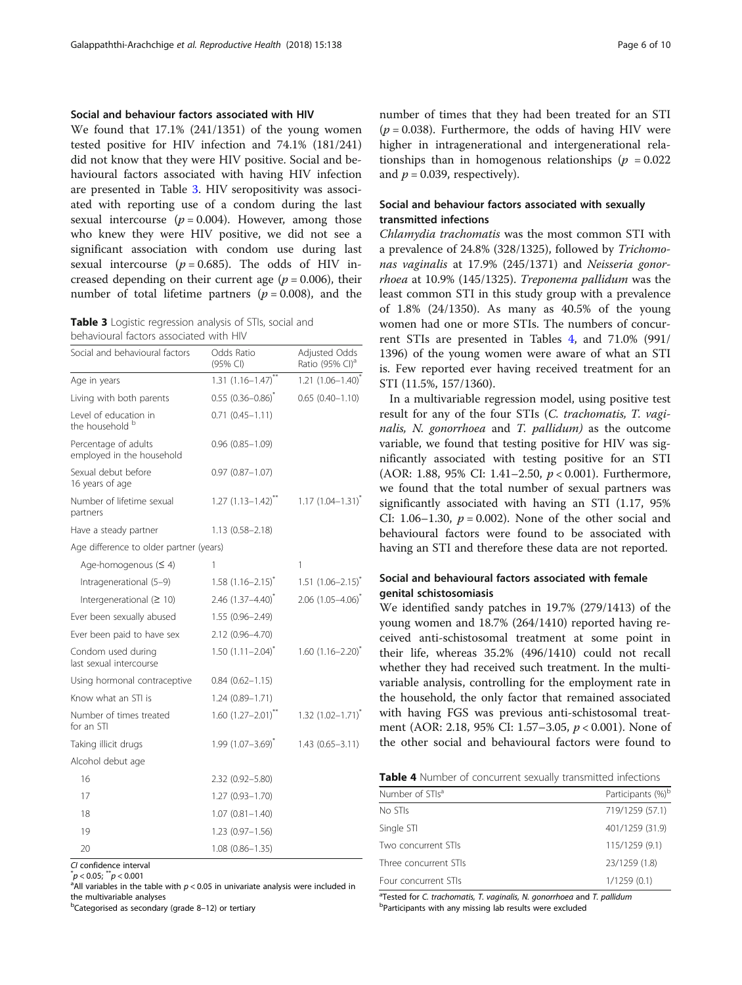## Social and behaviour factors associated with HIV

We found that 17.1% (241/1351) of the young women tested positive for HIV infection and 74.1% (181/241) did not know that they were HIV positive. Social and behavioural factors associated with having HIV infection are presented in Table 3. HIV seropositivity was associated with reporting use of a condom during the last sexual intercourse ( $p = 0.004$ ). However, among those who knew they were HIV positive, we did not see a significant association with condom use during last sexual intercourse ( $p = 0.685$ ). The odds of HIV increased depending on their current age ( $p = 0.006$ ), their number of total lifetime partners ( $p = 0.008$ ), and the

Table 3 Logistic regression analysis of STIs, social and behavioural factors associated with HIV

| Social and behavioural factors                      | Odds Ratio<br>(95% CI)           | Adjusted Odds<br>Ratio (95% CI) <sup>a</sup> |
|-----------------------------------------------------|----------------------------------|----------------------------------------------|
| Age in years                                        | $1.31 (1.16 - 1.47)^{**}$        | $1.21 (1.06 - 1.40)^T$                       |
| Living with both parents                            | $0.55(0.36 - 0.86)^{*}$          | $0.65(0.40-1.10)$                            |
| Level of education in<br>the household <sup>b</sup> | $0.71(0.45 - 1.11)$              |                                              |
| Percentage of adults<br>employed in the household   | $0.96(0.85 - 1.09)$              |                                              |
| Sexual debut before<br>16 years of age              | $0.97(0.87 - 1.07)$              |                                              |
| Number of lifetime sexual<br>partners               | $1.27$ (1.13-1.42) <sup>**</sup> | $1.17(1.04 - 1.31)^{n}$                      |
| Have a steady partner                               | $1.13(0.58 - 2.18)$              |                                              |
| Age difference to older partner (years)             |                                  |                                              |
| Age-homogenous $(5 4)$                              | 1                                | 1                                            |
| Intragenerational (5-9)                             | $1.58(1.16 - 2.15)^{n}$          | $1.51(1.06 - 2.15)^T$                        |
| Intergenerational ( $\geq 10$ )                     | $2.46$ $(1.37 - 4.40)^{*}$       | 2.06 (1.05-4.06) <sup>*</sup>                |
| Ever been sexually abused                           | $1.55(0.96 - 2.49)$              |                                              |
| Ever been paid to have sex                          | 2.12 (0.96-4.70)                 |                                              |
| Condom used during<br>last sexual intercourse       | $1.50(1.11 - 2.04)^{*}$          | $1.60$ $(1.16 - 2.20)^{n}$                   |
| Using hormonal contraceptive                        | $0.84(0.62 - 1.15)$              |                                              |
| Know what an STI is                                 | 1.24 (0.89-1.71)                 |                                              |
| Number of times treated<br>for an STI               | $1.60$ $(1.27 - 2.01)$ **        | $1.32(1.02 - 1.71)^{*}$                      |
| Taking illicit drugs                                | $1.99(1.07 - 3.69)^{*}$          | $1.43(0.65 - 3.11)$                          |
| Alcohol debut age                                   |                                  |                                              |
| 16                                                  | 2.32 (0.92-5.80)                 |                                              |
| 17                                                  | $1.27(0.93 - 1.70)$              |                                              |
| 18                                                  | $1.07(0.81 - 1.40)$              |                                              |
| 19                                                  | $1.23(0.97-1.56)$                |                                              |
| 20                                                  | $1.08(0.86 - 1.35)$              |                                              |

CI confidence interval

 $p < 0.05;$   $\frac{m}{p} < 0.001$ 

<sup>a</sup>All variables in the table with  $p < 0.05$  in univariate analysis were included in the multivariable analyses

<sup>b</sup>Categorised as secondary (grade 8-12) or tertiary

number of times that they had been treated for an STI  $(p = 0.038)$ . Furthermore, the odds of having HIV were higher in intragenerational and intergenerational relationships than in homogenous relationships ( $p = 0.022$ ) and  $p = 0.039$ , respectively).

## Social and behaviour factors associated with sexually transmitted infections

Chlamydia trachomatis was the most common STI with a prevalence of 24.8% (328/1325), followed by Trichomonas vaginalis at 17.9% (245/1371) and Neisseria gonorrhoea at 10.9% (145/1325). Treponema pallidum was the least common STI in this study group with a prevalence of 1.8% (24/1350). As many as 40.5% of the young women had one or more STIs. The numbers of concurrent STIs are presented in Tables 4, and 71.0% (991/ 1396) of the young women were aware of what an STI is. Few reported ever having received treatment for an STI (11.5%, 157/1360).

In a multivariable regression model, using positive test result for any of the four STIs (C. trachomatis, T. vaginalis,  $N$ . gonorrhoea and  $T$ . pallidum) as the outcome variable, we found that testing positive for HIV was significantly associated with testing positive for an STI (AOR: 1.88, 95% CI: 1.41–2.50, p < 0.001). Furthermore, we found that the total number of sexual partners was significantly associated with having an STI (1.17, 95% CI: 1.06–1.30,  $p = 0.002$ ). None of the other social and behavioural factors were found to be associated with having an STI and therefore these data are not reported.

## Social and behavioural factors associated with female genital schistosomiasis

We identified sandy patches in 19.7% (279/1413) of the young women and 18.7% (264/1410) reported having received anti-schistosomal treatment at some point in their life, whereas 35.2% (496/1410) could not recall whether they had received such treatment. In the multivariable analysis, controlling for the employment rate in the household, the only factor that remained associated with having FGS was previous anti-schistosomal treatment (AOR: 2.18, 95% CI: 1.57–3.05, p < 0.001). None of the other social and behavioural factors were found to

| Table 4 Number of concurrent sexually transmitted infections |
|--------------------------------------------------------------|
|--------------------------------------------------------------|

| Number of STIs <sup>a</sup> | Participants (%) <sup>b</sup> |
|-----------------------------|-------------------------------|
| No STIs                     | 719/1259 (57.1)               |
| Single STI                  | 401/1259 (31.9)               |
| Two concurrent STIs         | 115/1259 (9.1)                |
| Three concurrent STIs       | 23/1259 (1.8)                 |
| Four concurrent STIs        | 1/1259(0.1)                   |

<sup>a</sup> Tested for C. trachomatis, T. vaginalis, N. gonorrhoea and T. pallidum<br><sup>b</sup> Participants with any missing lab results were excluded bParticipants with any missing lab results were excluded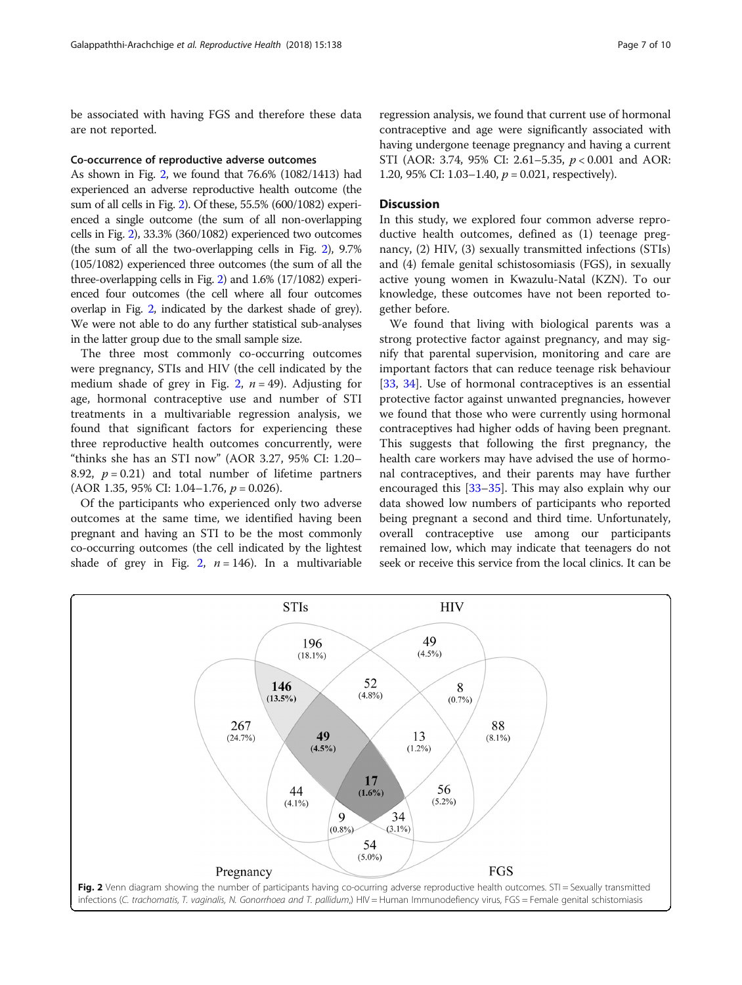<span id="page-6-0"></span>be associated with having FGS and therefore these data are not reported.

#### Co-occurrence of reproductive adverse outcomes

As shown in Fig. 2, we found that 76.6% (1082/1413) had experienced an adverse reproductive health outcome (the sum of all cells in Fig. 2). Of these, 55.5% (600/1082) experienced a single outcome (the sum of all non-overlapping cells in Fig. 2), 33.3% (360/1082) experienced two outcomes (the sum of all the two-overlapping cells in Fig. 2), 9.7% (105/1082) experienced three outcomes (the sum of all the three-overlapping cells in Fig. 2) and 1.6% (17/1082) experienced four outcomes (the cell where all four outcomes overlap in Fig. 2, indicated by the darkest shade of grey). We were not able to do any further statistical sub-analyses in the latter group due to the small sample size.

The three most commonly co-occurring outcomes were pregnancy, STIs and HIV (the cell indicated by the medium shade of grey in Fig. 2,  $n = 49$ ). Adjusting for age, hormonal contraceptive use and number of STI treatments in a multivariable regression analysis, we found that significant factors for experiencing these three reproductive health outcomes concurrently, were "thinks she has an STI now" (AOR 3.27, 95% CI: 1.20– 8.92,  $p = 0.21$ ) and total number of lifetime partners  $(AOR 1.35, 95\% CI: 1.04–1.76, p = 0.026).$ 

Of the participants who experienced only two adverse outcomes at the same time, we identified having been pregnant and having an STI to be the most commonly co-occurring outcomes (the cell indicated by the lightest shade of grey in Fig. 2,  $n = 146$ ). In a multivariable

regression analysis, we found that current use of hormonal contraceptive and age were significantly associated with having undergone teenage pregnancy and having a current STI (AOR: 3.74, 95% CI: 2.61–5.35, p < 0.001 and AOR: 1.20, 95% CI: 1.03–1.40,  $p = 0.021$ , respectively).

## **Discussion**

In this study, we explored four common adverse reproductive health outcomes, defined as (1) teenage pregnancy, (2) HIV, (3) sexually transmitted infections (STIs) and (4) female genital schistosomiasis (FGS), in sexually active young women in Kwazulu-Natal (KZN). To our knowledge, these outcomes have not been reported together before.

We found that living with biological parents was a strong protective factor against pregnancy, and may signify that parental supervision, monitoring and care are important factors that can reduce teenage risk behaviour [[33,](#page-9-0) [34\]](#page-9-0). Use of hormonal contraceptives is an essential protective factor against unwanted pregnancies, however we found that those who were currently using hormonal contraceptives had higher odds of having been pregnant. This suggests that following the first pregnancy, the health care workers may have advised the use of hormonal contraceptives, and their parents may have further encouraged this [\[33](#page-9-0)–[35](#page-9-0)]. This may also explain why our data showed low numbers of participants who reported being pregnant a second and third time. Unfortunately, overall contraceptive use among our participants remained low, which may indicate that teenagers do not seek or receive this service from the local clinics. It can be

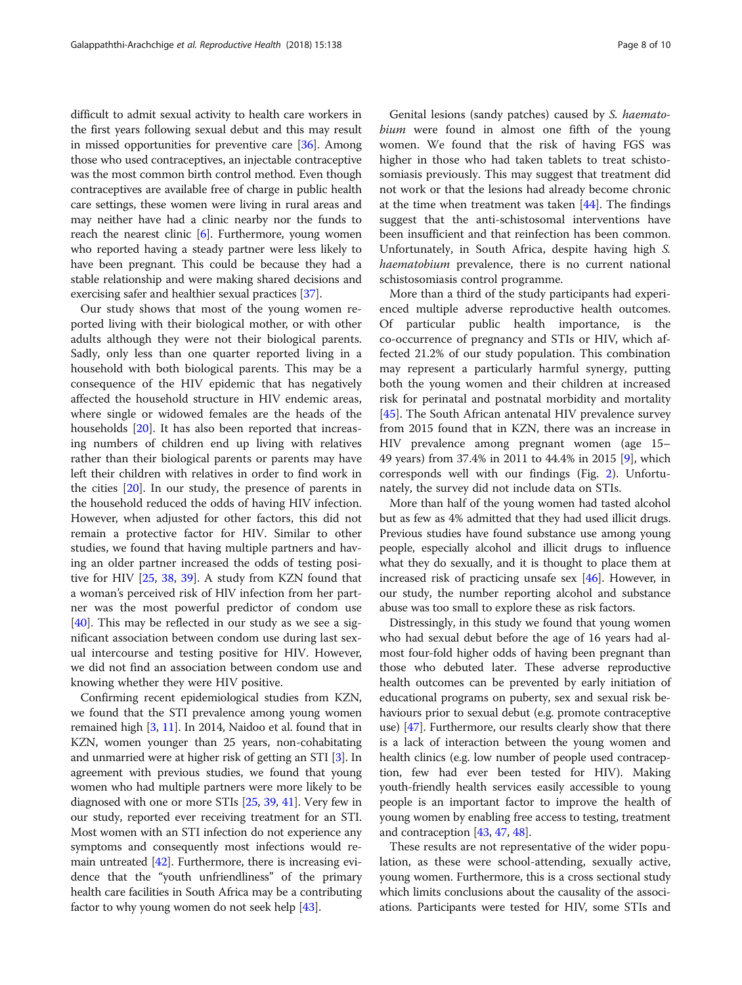difficult to admit sexual activity to health care workers in the first years following sexual debut and this may result in missed opportunities for preventive care [[36](#page-9-0)]. Among those who used contraceptives, an injectable contraceptive was the most common birth control method. Even though contraceptives are available free of charge in public health care settings, these women were living in rural areas and may neither have had a clinic nearby nor the funds to reach the nearest clinic [[6\]](#page-8-0). Furthermore, young women who reported having a steady partner were less likely to have been pregnant. This could be because they had a stable relationship and were making shared decisions and exercising safer and healthier sexual practices [[37](#page-9-0)].

Our study shows that most of the young women reported living with their biological mother, or with other adults although they were not their biological parents. Sadly, only less than one quarter reported living in a household with both biological parents. This may be a consequence of the HIV epidemic that has negatively affected the household structure in HIV endemic areas, where single or widowed females are the heads of the households [[20](#page-9-0)]. It has also been reported that increasing numbers of children end up living with relatives rather than their biological parents or parents may have left their children with relatives in order to find work in the cities [[20\]](#page-9-0). In our study, the presence of parents in the household reduced the odds of having HIV infection. However, when adjusted for other factors, this did not remain a protective factor for HIV. Similar to other studies, we found that having multiple partners and having an older partner increased the odds of testing positive for HIV [\[25](#page-9-0), [38,](#page-9-0) [39](#page-9-0)]. A study from KZN found that a woman's perceived risk of HlV infection from her partner was the most powerful predictor of condom use  $[40]$  $[40]$ . This may be reflected in our study as we see a significant association between condom use during last sexual intercourse and testing positive for HIV. However, we did not find an association between condom use and knowing whether they were HIV positive.

Confirming recent epidemiological studies from KZN, we found that the STI prevalence among young women remained high [[3](#page-8-0), [11\]](#page-9-0). In 2014, Naidoo et al. found that in KZN, women younger than 25 years, non-cohabitating and unmarried were at higher risk of getting an STI [\[3](#page-8-0)]. In agreement with previous studies, we found that young women who had multiple partners were more likely to be diagnosed with one or more STIs [\[25,](#page-9-0) [39](#page-9-0), [41](#page-9-0)]. Very few in our study, reported ever receiving treatment for an STI. Most women with an STI infection do not experience any symptoms and consequently most infections would remain untreated [[42](#page-9-0)]. Furthermore, there is increasing evidence that the "youth unfriendliness" of the primary health care facilities in South Africa may be a contributing factor to why young women do not seek help [\[43\]](#page-9-0).

Genital lesions (sandy patches) caused by S. haematobium were found in almost one fifth of the young women. We found that the risk of having FGS was higher in those who had taken tablets to treat schistosomiasis previously. This may suggest that treatment did not work or that the lesions had already become chronic at the time when treatment was taken  $[44]$  $[44]$ . The findings suggest that the anti-schistosomal interventions have been insufficient and that reinfection has been common. Unfortunately, in South Africa, despite having high S. haematobium prevalence, there is no current national schistosomiasis control programme.

More than a third of the study participants had experienced multiple adverse reproductive health outcomes. Of particular public health importance, is the co-occurrence of pregnancy and STIs or HIV, which affected 21.2% of our study population. This combination may represent a particularly harmful synergy, putting both the young women and their children at increased risk for perinatal and postnatal morbidity and mortality [[45\]](#page-9-0). The South African antenatal HIV prevalence survey from 2015 found that in KZN, there was an increase in HIV prevalence among pregnant women (age 15– 49 years) from 37.4% in 2011 to 44.4% in 2015 [\[9\]](#page-9-0), which corresponds well with our findings (Fig. [2](#page-6-0)). Unfortunately, the survey did not include data on STIs.

More than half of the young women had tasted alcohol but as few as 4% admitted that they had used illicit drugs. Previous studies have found substance use among young people, especially alcohol and illicit drugs to influence what they do sexually, and it is thought to place them at increased risk of practicing unsafe sex [\[46](#page-9-0)]. However, in our study, the number reporting alcohol and substance abuse was too small to explore these as risk factors.

Distressingly, in this study we found that young women who had sexual debut before the age of 16 years had almost four-fold higher odds of having been pregnant than those who debuted later. These adverse reproductive health outcomes can be prevented by early initiation of educational programs on puberty, sex and sexual risk behaviours prior to sexual debut (e.g. promote contraceptive use) [\[47\]](#page-9-0). Furthermore, our results clearly show that there is a lack of interaction between the young women and health clinics (e.g. low number of people used contraception, few had ever been tested for HIV). Making youth-friendly health services easily accessible to young people is an important factor to improve the health of young women by enabling free access to testing, treatment and contraception [\[43,](#page-9-0) [47](#page-9-0), [48](#page-9-0)].

These results are not representative of the wider population, as these were school-attending, sexually active, young women. Furthermore, this is a cross sectional study which limits conclusions about the causality of the associations. Participants were tested for HIV, some STIs and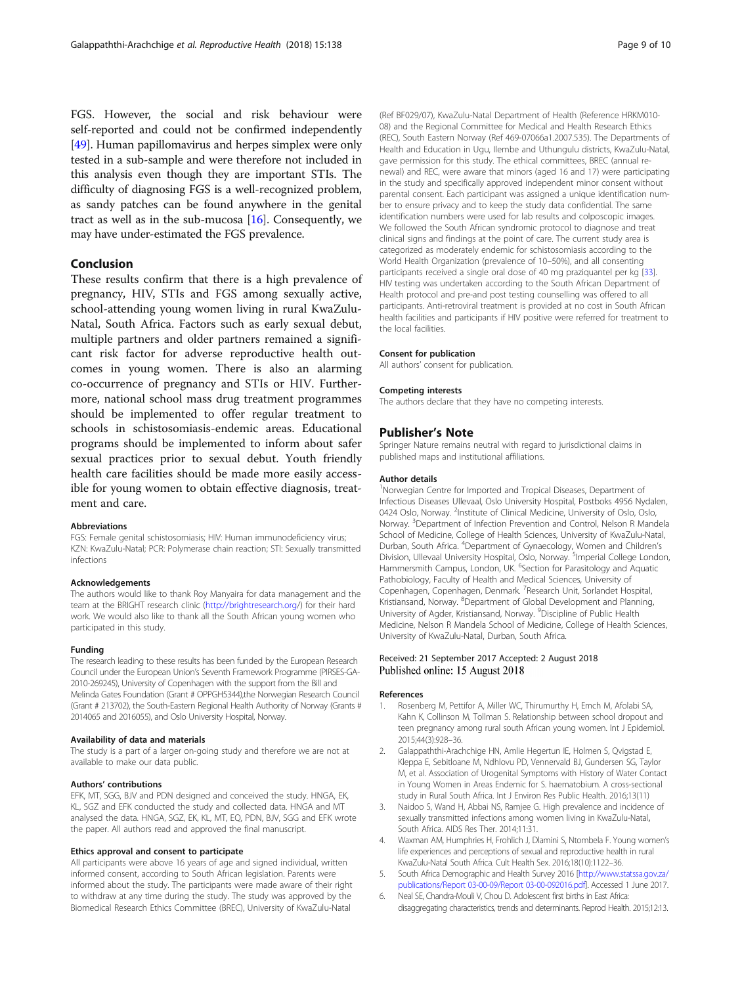<span id="page-8-0"></span>FGS. However, the social and risk behaviour were self-reported and could not be confirmed independently [[49](#page-9-0)]. Human papillomavirus and herpes simplex were only tested in a sub-sample and were therefore not included in this analysis even though they are important STIs. The difficulty of diagnosing FGS is a well-recognized problem, as sandy patches can be found anywhere in the genital tract as well as in the sub-mucosa  $[16]$  $[16]$ . Consequently, we may have under-estimated the FGS prevalence.

## Conclusion

These results confirm that there is a high prevalence of pregnancy, HIV, STIs and FGS among sexually active, school-attending young women living in rural KwaZulu-Natal, South Africa. Factors such as early sexual debut, multiple partners and older partners remained a significant risk factor for adverse reproductive health outcomes in young women. There is also an alarming co-occurrence of pregnancy and STIs or HIV. Furthermore, national school mass drug treatment programmes should be implemented to offer regular treatment to schools in schistosomiasis-endemic areas. Educational programs should be implemented to inform about safer sexual practices prior to sexual debut. Youth friendly health care facilities should be made more easily accessible for young women to obtain effective diagnosis, treatment and care.

#### Abbreviations

FGS: Female genital schistosomiasis; HIV: Human immunodeficiency virus; KZN: KwaZulu-Natal; PCR: Polymerase chain reaction; STI: Sexually transmitted infections

#### Acknowledgements

The authors would like to thank Roy Manyaira for data management and the team at the BRIGHT research clinic ([http://brightresearch.org/](http://brightresearch.org)) for their hard work. We would also like to thank all the South African young women who participated in this study.

#### Funding

The research leading to these results has been funded by the European Research Council under the European Union's Seventh Framework Programme (PIRSES-GA-2010-269245), University of Copenhagen with the support from the Bill and Melinda Gates Foundation (Grant # OPPGH5344),the Norwegian Research Council (Grant # 213702), the South-Eastern Regional Health Authority of Norway (Grants # 2014065 and 2016055), and Oslo University Hospital, Norway.

#### Availability of data and materials

The study is a part of a larger on-going study and therefore we are not at available to make our data public.

#### Authors' contributions

EFK, MT, SGG, BJV and PDN designed and conceived the study. HNGA, EK, KL, SGZ and EFK conducted the study and collected data. HNGA and MT analysed the data. HNGA, SGZ, EK, KL, MT, EQ, PDN, BJV, SGG and EFK wrote the paper. All authors read and approved the final manuscript.

#### Ethics approval and consent to participate

All participants were above 16 years of age and signed individual, written informed consent, according to South African legislation. Parents were informed about the study. The participants were made aware of their right to withdraw at any time during the study. The study was approved by the Biomedical Research Ethics Committee (BREC), University of KwaZulu-Natal

(Ref BF029/07), KwaZulu-Natal Department of Health (Reference HRKM010- 08) and the Regional Committee for Medical and Health Research Ethics (REC), South Eastern Norway (Ref 469-07066a1.2007.535). The Departments of Health and Education in Ugu, Ilembe and Uthungulu districts, KwaZulu-Natal, gave permission for this study. The ethical committees, BREC (annual renewal) and REC, were aware that minors (aged 16 and 17) were participating in the study and specifically approved independent minor consent without parental consent. Each participant was assigned a unique identification number to ensure privacy and to keep the study data confidential. The same identification numbers were used for lab results and colposcopic images. We followed the South African syndromic protocol to diagnose and treat clinical signs and findings at the point of care. The current study area is categorized as moderately endemic for schistosomiasis according to the World Health Organization (prevalence of 10–50%), and all consenting participants received a single oral dose of 40 mg praziquantel per kg [\[33](#page-9-0)]. HIV testing was undertaken according to the South African Department of Health protocol and pre-and post testing counselling was offered to all participants. Anti-retroviral treatment is provided at no cost in South African health facilities and participants if HIV positive were referred for treatment to the local facilities.

#### Consent for publication

All authors' consent for publication.

#### Competing interests

The authors declare that they have no competing interests.

#### Publisher's Note

Springer Nature remains neutral with regard to jurisdictional claims in published maps and institutional affiliations.

#### Author details

<sup>1</sup>Norwegian Centre for Imported and Tropical Diseases, Department of Infectious Diseases Ullevaal, Oslo University Hospital, Postboks 4956 Nydalen, 0424 Oslo, Norway. <sup>2</sup>Institute of Clinical Medicine, University of Oslo, Oslo, Norway. <sup>3</sup>Department of Infection Prevention and Control, Nelson R Mandela School of Medicine, College of Health Sciences, University of KwaZulu-Natal, Durban, South Africa. <sup>4</sup> Department of Gynaecology, Women and Children's Division, Ullevaal University Hospital, Oslo, Norway. <sup>5</sup>Imperial College London Hammersmith Campus, London, UK. <sup>6</sup>Section for Parasitology and Aquatic Pathobiology, Faculty of Health and Medical Sciences, University of Copenhagen, Copenhagen, Denmark. <sup>7</sup> Research Unit, Sorlandet Hospital, Kristiansand, Norway. <sup>8</sup>Department of Global Development and Planning University of Agder, Kristiansand, Norway. <sup>9</sup>Discipline of Public Health Medicine, Nelson R Mandela School of Medicine, College of Health Sciences, University of KwaZulu-Natal, Durban, South Africa.

#### Received: 21 September 2017 Accepted: 2 August 2018 Published online: 15 August 2018

#### References

- Rosenberg M, Pettifor A, Miller WC, Thirumurthy H, Emch M, Afolabi SA, Kahn K, Collinson M, Tollman S. Relationship between school dropout and teen pregnancy among rural south African young women. Int J Epidemiol. 2015;44(3):928–36.
- 2. Galappaththi-Arachchige HN, Amlie Hegertun IE, Holmen S, Qvigstad E, Kleppa E, Sebitloane M, Ndhlovu PD, Vennervald BJ, Gundersen SG, Taylor M, et al. Association of Urogenital Symptoms with History of Water Contact in Young Women in Areas Endemic for S. haematobium. A cross-sectional study in Rural South Africa. Int J Environ Res Public Health. 2016;13(11)
- 3. Naidoo S, Wand H, Abbai NS, Ramjee G. High prevalence and incidence of sexually transmitted infections among women living in KwaZulu-Natal, South Africa. AIDS Res Ther. 2014;11:31.
- 4. Waxman AM, Humphries H, Frohlich J, Dlamini S, Ntombela F. Young women's life experiences and perceptions of sexual and reproductive health in rural KwaZulu-Natal South Africa. Cult Health Sex. 2016;18(10):1122–36.
- 5. South Africa Demographic and Health Survey 2016 [\[http://www.statssa.gov.za/](http://www.statssa.gov.za/publications/Report%2003-00-09/Report%2003-00-092016.pdf) [publications/Report 03-00-09/Report 03-00-092016.pdf\]](http://www.statssa.gov.za/publications/Report%2003-00-09/Report%2003-00-092016.pdf). Accessed 1 June 2017.
- 6. Neal SE, Chandra-Mouli V, Chou D. Adolescent first births in East Africa: disaggregating characteristics, trends and determinants. Reprod Health. 2015;12:13.